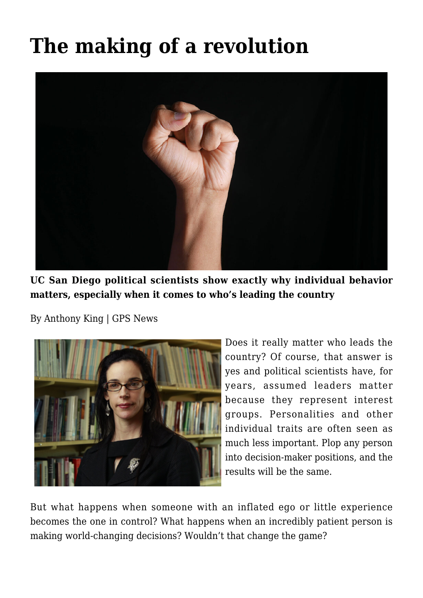## **[The making of a revolution](https://gpsnews.ucsd.edu/the-making-of-a-revolution/)**



**UC San Diego political scientists show exactly why individual behavior matters, especially when it comes to who's leading the country**

By Anthony King | GPS News



Does it really matter who leads the country? Of course, that answer is yes and political scientists have, for years, assumed leaders matter because they represent interest groups. Personalities and other individual traits are often seen as much less important. Plop any person into decision-maker positions, and the results will be the same.

But what happens when someone with an inflated ego or little experience becomes the one in control? What happens when an incredibly patient person is making world-changing decisions? Wouldn't that change the game?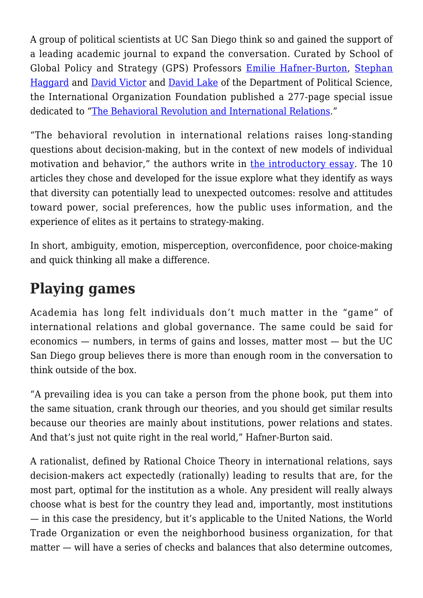A group of political scientists at UC San Diego think so and gained the support of a leading academic journal to expand the conversation. Curated by School of Global Policy and Strategy (GPS) Professors [Emilie Hafner-Burton](https://gps.ucsd.edu/faculty-directory/emilie-hafner-burton.html), [Stephan](https://gps.ucsd.edu/faculty-directory/stephan-haggard.html) [Haggard](https://gps.ucsd.edu/faculty-directory/stephan-haggard.html) and [David Victor](https://gps.ucsd.edu/faculty-directory/david-victor.html) and [David Lake](https://gps.ucsd.edu/faculty-directory/david-lake.html) of the Department of Political Science, the International Organization Foundation published a 277-page special issue dedicated to ["The Behavioral Revolution and International Relations.](https://www.cambridge.org/core/journals/international-organization/issue/DEE65E4B7B7C8A50C4B912B7631AA970)"

"The behavioral revolution in international relations raises long-standing questions about decision-making, but in the context of new models of individual motivation and behavior," the authors write in [the introductory essay.](https://www.cambridge.org/core/journals/international-organization/article/behavioral-revolution-and-international-relations/C00E297DF5801C7A09F5334ABE40E54D) The 10 articles they chose and developed for the issue explore what they identify as ways that diversity can potentially lead to unexpected outcomes: resolve and attitudes toward power, social preferences, how the public uses information, and the experience of elites as it pertains to strategy-making.

In short, ambiguity, emotion, misperception, overconfidence, poor choice-making and quick thinking all make a difference.

## **Playing games**

Academia has long felt individuals don't much matter in the "game" of international relations and global governance. The same could be said for economics — numbers, in terms of gains and losses, matter most — but the UC San Diego group believes there is more than enough room in the conversation to think outside of the box.

"A prevailing idea is you can take a person from the phone book, put them into the same situation, crank through our theories, and you should get similar results because our theories are mainly about institutions, power relations and states. And that's just not quite right in the real world," Hafner-Burton said.

A rationalist, defined by Rational Choice Theory in international relations, says decision-makers act expectedly (rationally) leading to results that are, for the most part, optimal for the institution as a whole. Any president will really always choose what is best for the country they lead and, importantly, most institutions — in this case the presidency, but it's applicable to the United Nations, the World Trade Organization or even the neighborhood business organization, for that matter — will have a series of checks and balances that also determine outcomes,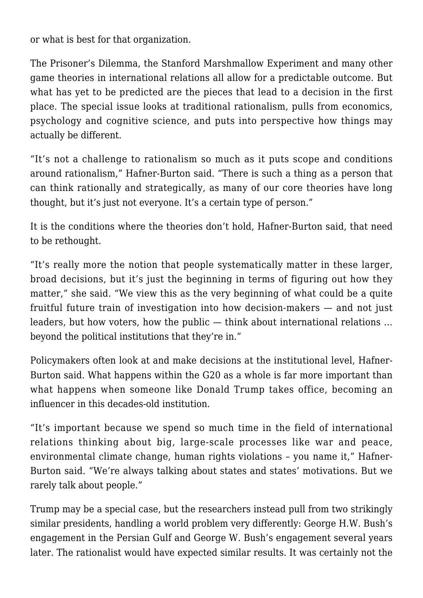or what is best for that organization.

The Prisoner's Dilemma, the Stanford Marshmallow Experiment and many other game theories in international relations all allow for a predictable outcome. But what has yet to be predicted are the pieces that lead to a decision in the first place. The special issue looks at traditional rationalism, pulls from economics, psychology and cognitive science, and puts into perspective how things may actually be different.

"It's not a challenge to rationalism so much as it puts scope and conditions around rationalism," Hafner-Burton said. "There is such a thing as a person that can think rationally and strategically, as many of our core theories have long thought, but it's just not everyone. It's a certain type of person."

It is the conditions where the theories don't hold, Hafner-Burton said, that need to be rethought.

"It's really more the notion that people systematically matter in these larger, broad decisions, but it's just the beginning in terms of figuring out how they matter," she said. "We view this as the very beginning of what could be a quite fruitful future train of investigation into how decision-makers — and not just leaders, but how voters, how the public — think about international relations … beyond the political institutions that they're in."

Policymakers often look at and make decisions at the institutional level, Hafner-Burton said. What happens within the G20 as a whole is far more important than what happens when someone like Donald Trump takes office, becoming an influencer in this decades-old institution.

"It's important because we spend so much time in the field of international relations thinking about big, large-scale processes like war and peace, environmental climate change, human rights violations – you name it," Hafner-Burton said. "We're always talking about states and states' motivations. But we rarely talk about people."

Trump may be a special case, but the researchers instead pull from two strikingly similar presidents, handling a world problem very differently: George H.W. Bush's engagement in the Persian Gulf and George W. Bush's engagement several years later. The rationalist would have expected similar results. It was certainly not the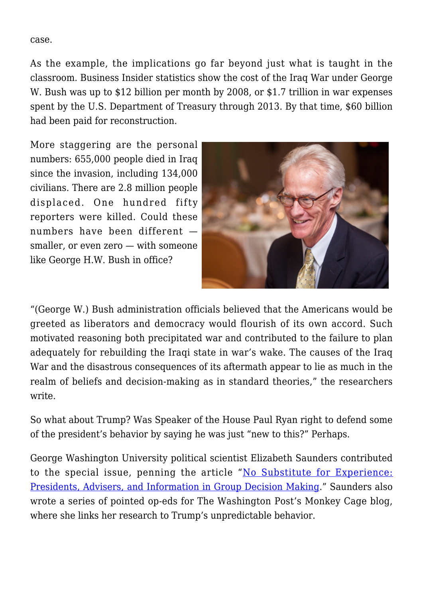case.

As the example, the implications go far beyond just what is taught in the classroom. Business Insider statistics show the cost of the Iraq War under George W. Bush was up to \$12 billion per month by 2008, or \$1.7 trillion in war expenses spent by the U.S. Department of Treasury through 2013. By that time, \$60 billion had been paid for reconstruction.

More staggering are the personal numbers: 655,000 people died in Iraq since the invasion, including 134,000 civilians. There are 2.8 million people displaced. One hundred fifty reporters were killed. Could these numbers have been different smaller, or even zero — with someone like George H.W. Bush in office?



"(George W.) Bush administration officials believed that the Americans would be greeted as liberators and democracy would flourish of its own accord. Such motivated reasoning both precipitated war and contributed to the failure to plan adequately for rebuilding the Iraqi state in war's wake. The causes of the Iraq War and the disastrous consequences of its aftermath appear to lie as much in the realm of beliefs and decision-making as in standard theories," the researchers write.

So what about Trump? Was Speaker of the House Paul Ryan right to defend some of the president's behavior by saying he was just "new to this?" Perhaps.

George Washington University political scientist Elizabeth Saunders contributed to the special issue, penning the article "[No Substitute for Experience:](https://www.cambridge.org/core/journals/international-organization/article/no-substitute-for-experience-presidents-advisers-and-information-in-group-decision-making/8355A96F3409F13CF4740720EA59BD8D) [Presidents, Advisers, and Information in Group Decision Making.](https://www.cambridge.org/core/journals/international-organization/article/no-substitute-for-experience-presidents-advisers-and-information-in-group-decision-making/8355A96F3409F13CF4740720EA59BD8D)" Saunders also wrote a series of pointed op-eds for The Washington Post's Monkey Cage blog, where she links her research to Trump's unpredictable behavior.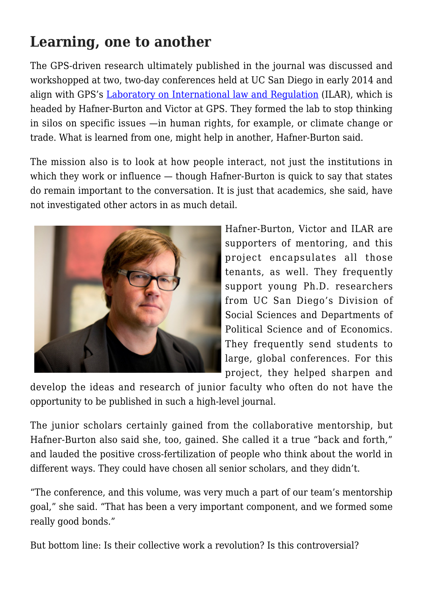## **Learning, one to another**

The GPS-driven research ultimately published in the journal was discussed and workshopped at two, two-day conferences held at UC San Diego in early 2014 and align with GPS's [Laboratory on International law and Regulation](http://ilar.ucsd.edu/) (ILAR), which is headed by Hafner-Burton and Victor at GPS. They formed the lab to stop thinking in silos on specific issues —in human rights, for example, or climate change or trade. What is learned from one, might help in another, Hafner-Burton said.

The mission also is to look at how people interact, not just the institutions in which they work or influence — though Hafner-Burton is quick to say that states do remain important to the conversation. It is just that academics, she said, have not investigated other actors in as much detail.



Hafner-Burton, Victor and ILAR are supporters of mentoring, and this project encapsulates all those tenants, as well. They frequently support young Ph.D. researchers from UC San Diego's Division of Social Sciences and Departments of Political Science and of Economics. They frequently send students to large, global conferences. For this project, they helped sharpen and

develop the ideas and research of junior faculty who often do not have the opportunity to be published in such a high-level journal.

The junior scholars certainly gained from the collaborative mentorship, but Hafner-Burton also said she, too, gained. She called it a true "back and forth," and lauded the positive cross-fertilization of people who think about the world in different ways. They could have chosen all senior scholars, and they didn't.

"The conference, and this volume, was very much a part of our team's mentorship goal," she said. "That has been a very important component, and we formed some really good bonds."

But bottom line: Is their collective work a revolution? Is this controversial?